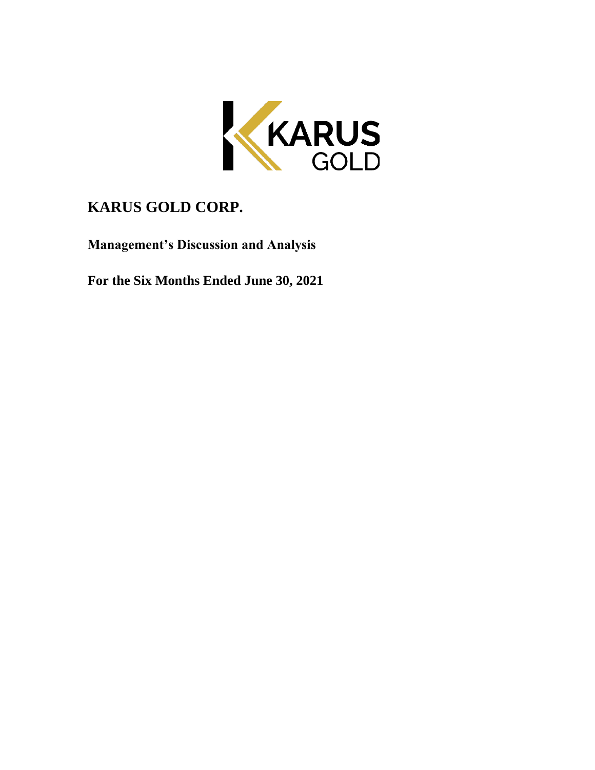

# **KARUS GOLD CORP.**

**Management's Discussion and Analysis**

**For the Six Months Ended June 30, 2021**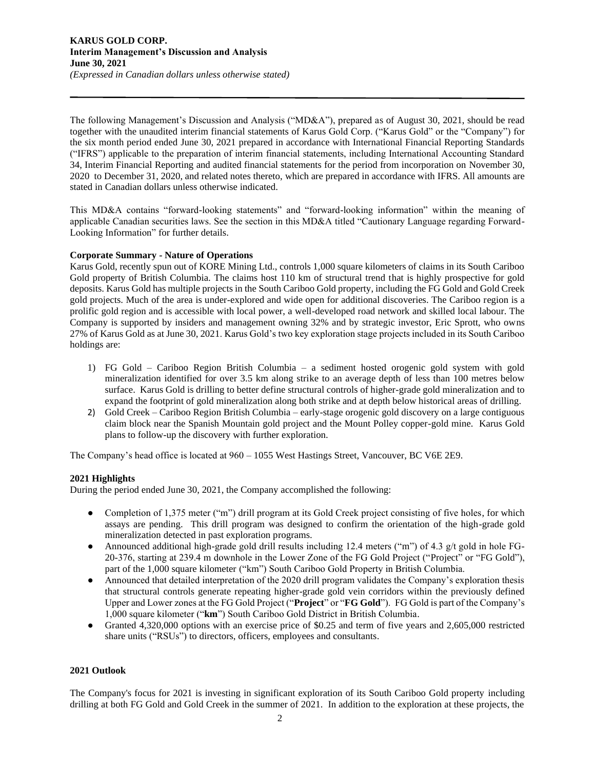The following Management's Discussion and Analysis ("MD&A"), prepared as of August 30, 2021, should be read together with the unaudited interim financial statements of Karus Gold Corp. ("Karus Gold" or the "Company") for the six month period ended June 30, 2021 prepared in accordance with International Financial Reporting Standards ("IFRS") applicable to the preparation of interim financial statements, including International Accounting Standard 34, Interim Financial Reporting and audited financial statements for the period from incorporation on November 30, 2020 to December 31, 2020, and related notes thereto, which are prepared in accordance with IFRS. All amounts are stated in Canadian dollars unless otherwise indicated.

This MD&A contains "forward-looking statements" and "forward-looking information" within the meaning of applicable Canadian securities laws. See the section in this MD&A titled "Cautionary Language regarding Forward-Looking Information" for further details.

## **Corporate Summary - Nature of Operations**

Karus Gold, recently spun out of KORE Mining Ltd., controls 1,000 square kilometers of claims in its South Cariboo Gold property of British Columbia. The claims host 110 km of structural trend that is highly prospective for gold deposits. Karus Gold has multiple projects in the South Cariboo Gold property, including the FG Gold and Gold Creek gold projects. Much of the area is under-explored and wide open for additional discoveries. The Cariboo region is a prolific gold region and is accessible with local power, a well-developed road network and skilled local labour. The Company is supported by insiders and management owning 32% and by strategic investor, Eric Sprott, who owns 27% of Karus Gold as at June 30, 2021. Karus Gold's two key exploration stage projects included in its South Cariboo holdings are:

- 1) FG Gold Cariboo Region British Columbia a sediment hosted orogenic gold system with gold mineralization identified for over 3.5 km along strike to an average depth of less than 100 metres below surface. Karus Gold is drilling to better define structural controls of higher-grade gold mineralization and to expand the footprint of gold mineralization along both strike and at depth below historical areas of drilling.
- 2) Gold Creek Cariboo Region British Columbia early-stage orogenic gold discovery on a large contiguous claim block near the Spanish Mountain gold project and the Mount Polley copper-gold mine. Karus Gold plans to follow-up the discovery with further exploration.

The Company's head office is located at 960 – 1055 West Hastings Street, Vancouver, BC V6E 2E9.

## **2021 Highlights**

During the period ended June 30, 2021, the Company accomplished the following:

- Completion of 1,375 meter ("m") drill program at its Gold Creek project consisting of five holes, for which assays are pending. This drill program was designed to confirm the orientation of the high-grade gold mineralization detected in past exploration programs.
- Announced additional high-grade gold drill results including 12.4 meters ("m") of 4.3 g/t gold in hole FG-20-376, starting at 239.4 m downhole in the Lower Zone of the FG Gold Project ("Project" or "FG Gold"), part of the 1,000 square kilometer ("km") South Cariboo Gold Property in British Columbia.
- Announced that detailed interpretation of the 2020 drill program validates the Company's exploration thesis that structural controls generate repeating higher-grade gold vein corridors within the previously defined Upper and Lower zones at the FG Gold Project ("**Project**" or "**FG Gold**"). FG Gold is part of the Company's 1,000 square kilometer ("**km**") South Cariboo Gold District in British Columbia.
- Granted 4,320,000 options with an exercise price of \$0.25 and term of five years and 2,605,000 restricted share units ("RSUs") to directors, officers, employees and consultants.

## **2021 Outlook**

The Company's focus for 2021 is investing in significant exploration of its South Cariboo Gold property including drilling at both FG Gold and Gold Creek in the summer of 2021. In addition to the exploration at these projects, the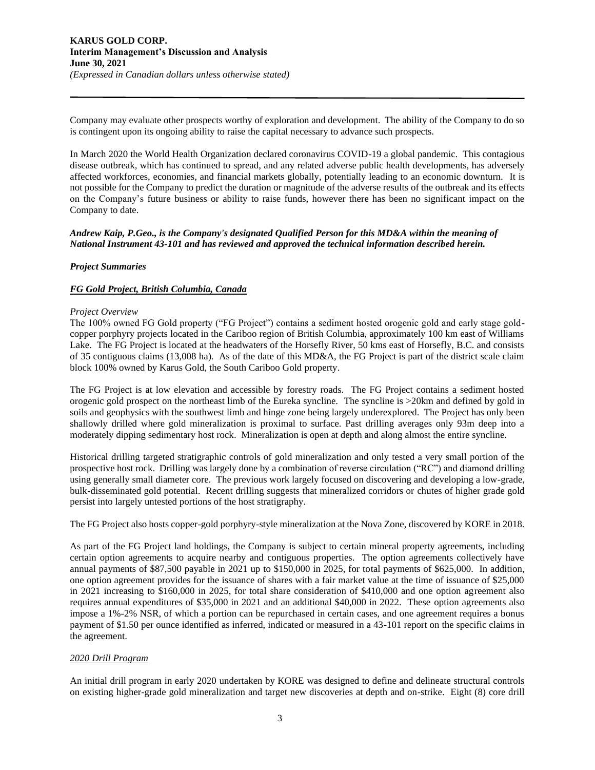Company may evaluate other prospects worthy of exploration and development. The ability of the Company to do so is contingent upon its ongoing ability to raise the capital necessary to advance such prospects.

In March 2020 the World Health Organization declared coronavirus COVID-19 a global pandemic. This contagious disease outbreak, which has continued to spread, and any related adverse public health developments, has adversely affected workforces, economies, and financial markets globally, potentially leading to an economic downturn. It is not possible for the Company to predict the duration or magnitude of the adverse results of the outbreak and its effects on the Company's future business or ability to raise funds, however there has been no significant impact on the Company to date.

## *Andrew Kaip, P.Geo., is the Company's designated Qualified Person for this MD&A within the meaning of National Instrument 43-101 and has reviewed and approved the technical information described herein.*

## *Project Summaries*

## *FG Gold Project, British Columbia, Canada*

## *Project Overview*

The 100% owned FG Gold property ("FG Project") contains a sediment hosted orogenic gold and early stage goldcopper porphyry projects located in the Cariboo region of British Columbia, approximately 100 km east of Williams Lake. The FG Project is located at the headwaters of the Horsefly River, 50 kms east of Horsefly, B.C. and consists of 35 contiguous claims (13,008 ha). As of the date of this MD&A, the FG Project is part of the district scale claim block 100% owned by Karus Gold, the South Cariboo Gold property.

The FG Project is at low elevation and accessible by forestry roads. The FG Project contains a sediment hosted orogenic gold prospect on the northeast limb of the Eureka syncline. The syncline is >20km and defined by gold in soils and geophysics with the southwest limb and hinge zone being largely underexplored. The Project has only been shallowly drilled where gold mineralization is proximal to surface. Past drilling averages only 93m deep into a moderately dipping sedimentary host rock. Mineralization is open at depth and along almost the entire syncline.

Historical drilling targeted stratigraphic controls of gold mineralization and only tested a very small portion of the prospective host rock. Drilling was largely done by a combination of reverse circulation ("RC") and diamond drilling using generally small diameter core. The previous work largely focused on discovering and developing a low-grade, bulk-disseminated gold potential. Recent drilling suggests that mineralized corridors or chutes of higher grade gold persist into largely untested portions of the host stratigraphy.

The FG Project also hosts copper-gold porphyry-style mineralization at the Nova Zone, discovered by KORE in 2018.

As part of the FG Project land holdings, the Company is subject to certain mineral property agreements, including certain option agreements to acquire nearby and contiguous properties. The option agreements collectively have annual payments of \$87,500 payable in 2021 up to \$150,000 in 2025, for total payments of \$625,000. In addition, one option agreement provides for the issuance of shares with a fair market value at the time of issuance of \$25,000 in 2021 increasing to \$160,000 in 2025, for total share consideration of \$410,000 and one option agreement also requires annual expenditures of \$35,000 in 2021 and an additional \$40,000 in 2022. These option agreements also impose a 1%-2% NSR, of which a portion can be repurchased in certain cases, and one agreement requires a bonus payment of \$1.50 per ounce identified as inferred, indicated or measured in a 43-101 report on the specific claims in the agreement.

## *2020 Drill Program*

An initial drill program in early 2020 undertaken by KORE was designed to define and delineate structural controls on existing higher-grade gold mineralization and target new discoveries at depth and on-strike. Eight (8) core drill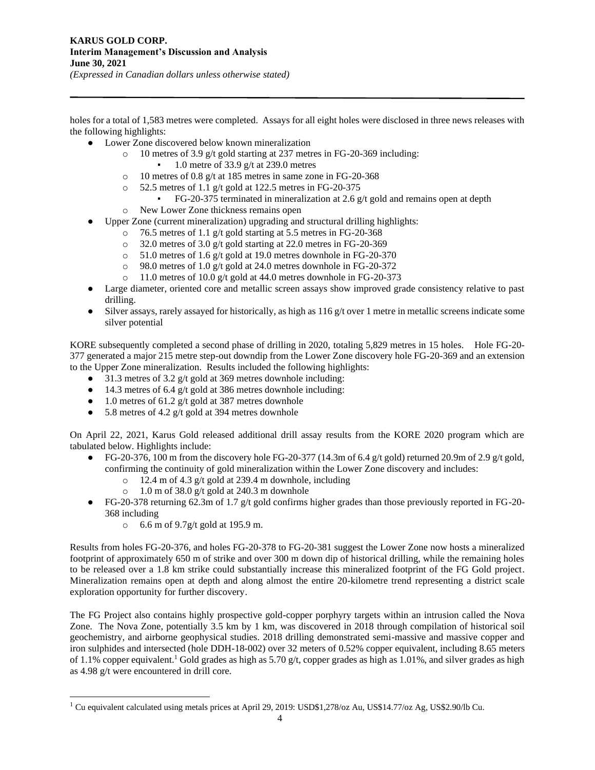holes for a total of 1,583 metres were completed. Assays for all eight holes were disclosed in three news releases with the following highlights:

- Lower Zone discovered below known mineralization
	- o 10 metres of 3.9 g/t gold starting at 237 metres in FG-20-369 including:
		- 1.0 metre of 33.9 g/t at 239.0 metres
	- o 10 metres of 0.8 g/t at 185 metres in same zone in FG-20-368
	- $\degree$  52.5 metres of 1.1 g/t gold at 122.5 metres in FG-20-375
		- $\blacktriangleright$  FG-20-375 terminated in mineralization at 2.6 g/t gold and remains open at depth
	- o New Lower Zone thickness remains open
	- Upper Zone (current mineralization) upgrading and structural drilling highlights:
		- o 76.5 metres of 1.1 g/t gold starting at 5.5 metres in FG-20-368
			- o 32.0 metres of 3.0 g/t gold starting at 22.0 metres in FG-20-369
			- o 51.0 metres of 1.6 g/t gold at 19.0 metres downhole in FG-20-370
			- o 98.0 metres of 1.0 g/t gold at 24.0 metres downhole in FG-20-372
			- o 11.0 metres of 10.0 g/t gold at 44.0 metres downhole in FG-20-373
- Large diameter, oriented core and metallic screen assays show improved grade consistency relative to past drilling.
- $\bullet$  Silver assays, rarely assayed for historically, as high as 116 g/t over 1 metre in metallic screens indicate some silver potential

KORE subsequently completed a second phase of drilling in 2020, totaling 5,829 metres in 15 holes. Hole FG-20- 377 generated a major 215 metre step-out downdip from the Lower Zone discovery hole FG-20-369 and an extension to the Upper Zone mineralization. Results included the following highlights:

- 31.3 metres of 3.2 g/t gold at 369 metres downhole including:
- 14.3 metres of 6.4 g/t gold at 386 metres downhole including:
- 1.0 metres of 61.2 g/t gold at 387 metres downhole
- 5.8 metres of 4.2 g/t gold at 394 metres downhole

On April 22, 2021, Karus Gold released additional drill assay results from the KORE 2020 program which are tabulated below. Highlights include:

- FG-20-376, 100 m from the discovery hole FG-20-377 (14.3m of 6.4 g/t gold) returned 20.9m of 2.9 g/t gold, confirming the continuity of gold mineralization within the Lower Zone discovery and includes:
	- $\degree$  12.4 m of 4.3 g/t gold at 239.4 m downhole, including
	- $\degree$  1.0 m of 38.0 g/t gold at 240.3 m downhole
- FG-20-378 returning 62.3m of 1.7 g/t gold confirms higher grades than those previously reported in FG-20- 368 including
	- o 6.6 m of 9.7g/t gold at 195.9 m.

Results from holes FG-20-376, and holes FG-20-378 to FG-20-381 suggest the Lower Zone now hosts a mineralized footprint of approximately 650 m of strike and over 300 m down dip of historical drilling, while the remaining holes to be released over a 1.8 km strike could substantially increase this mineralized footprint of the FG Gold project. Mineralization remains open at depth and along almost the entire 20-kilometre trend representing a district scale exploration opportunity for further discovery.

The FG Project also contains highly prospective gold-copper porphyry targets within an intrusion called the Nova Zone. The Nova Zone, potentially 3.5 km by 1 km, was discovered in 2018 through compilation of historical soil geochemistry, and airborne geophysical studies. 2018 drilling demonstrated semi-massive and massive copper and iron sulphides and intersected (hole DDH-18-002) over 32 meters of 0.52% copper equivalent, including 8.65 meters of 1.1% copper equivalent.<sup>1</sup> Gold grades as high as 5.70 g/t, copper grades as high as 1.01%, and silver grades as high as 4.98 g/t were encountered in drill core.

<sup>&</sup>lt;sup>1</sup> Cu equivalent calculated using metals prices at April 29, 2019: USD\$1,278/oz Au, US\$14.77/oz Ag, US\$2.90/lb Cu.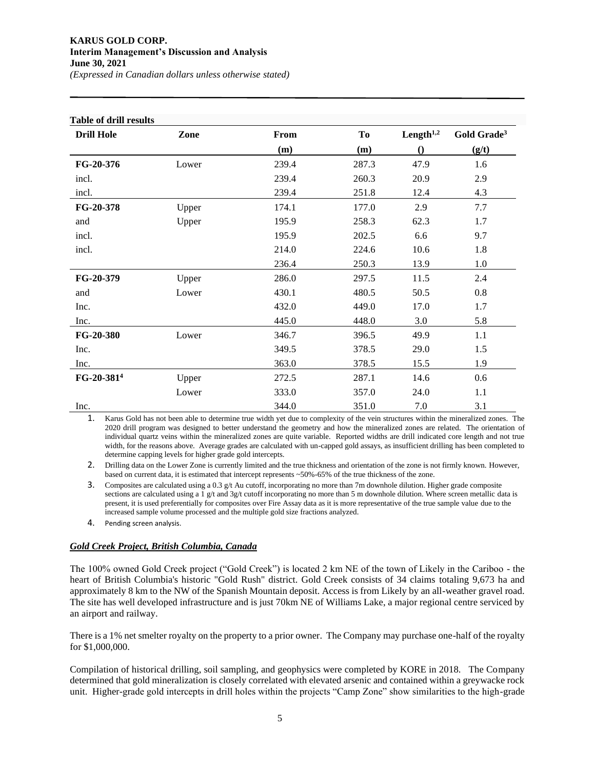## **KARUS GOLD CORP. Interim Management's Discussion and Analysis June 30, 2021**

**Table of drill results Drill Hole Zone From To Length1,2 Gold Grade<sup>3</sup> (m) (m) () (g/t) FG-20-376** Lower 239.4 287.3 47.9 1.6 incl. 239.4 260.3 20.9 2.9 incl. 239.4 251.8 12.4 4.3 **FG-20-378** Upper 174.1 177.0 2.9 7.7 and Upper 195.9 258.3 62.3 1.7 incl. 195.9 202.5 6.6 9.7 incl. 214.0 224.6 10.6 1.8 236.4 250.3 13.9 1.0 **FG-20-379** Upper 286.0 297.5 11.5 2.4 and Lower 430.1 480.5 50.5 0.8  $\text{Inc.} \quad 432.0 \quad 449.0 \quad 17.0 \quad 1.7$  $\text{Inc.} \quad 445.0 \quad 448.0 \quad 3.0 \quad 5.8$ **FG-20-380** Lower 346.7 396.5 49.9 1.1  $\text{Inc.}$  349.5 378.5 29.0 1.5 Inc. 363.0 378.5 15.5 1.9 **FG-20-381<sup>4</sup>** Upper 272.5 287.1 14.6 0.6 Lower 333.0 357.0 24.0 1.1  $\text{Inc.} \quad 344.0 \quad 351.0 \quad 7.0 \quad 3.1$ 

*(Expressed in Canadian dollars unless otherwise stated)*

1. Karus Gold has not been able to determine true width yet due to complexity of the vein structures within the mineralized zones. The 2020 drill program was designed to better understand the geometry and how the mineralized zones are related. The orientation of individual quartz veins within the mineralized zones are quite variable. Reported widths are drill indicated core length and not true width, for the reasons above. Average grades are calculated with un-capped gold assays, as insufficient drilling has been completed to determine capping levels for higher grade gold intercepts.

2. Drilling data on the Lower Zone is currently limited and the true thickness and orientation of the zone is not firmly known. However, based on current data, it is estimated that intercept represents ~50%-65% of the true thickness of the zone.

3. Composites are calculated using a  $0.3 \frac{g}{t}$  Au cutoff, incorporating no more than 7m downhole dilution. Higher grade composite sections are calculated using a 1 g/t and 3g/t cutoff incorporating no more than 5 m downhole dilution. Where screen metallic data is present, it is used preferentially for composites over Fire Assay data as it is more representative of the true sample value due to the increased sample volume processed and the multiple gold size fractions analyzed.

4. Pending screen analysis.

## *Gold Creek Project, British Columbia, Canada*

The 100% owned Gold Creek project ("Gold Creek") is located 2 km NE of the town of Likely in the Cariboo - the heart of British Columbia's historic "Gold Rush" district. Gold Creek consists of 34 claims totaling 9,673 ha and approximately 8 km to the NW of the Spanish Mountain deposit. Access is from Likely by an all-weather gravel road. The site has well developed infrastructure and is just 70km NE of Williams Lake, a major regional centre serviced by an airport and railway.

There is a 1% net smelter royalty on the property to a prior owner. The Company may purchase one-half of the royalty for \$1,000,000.

Compilation of historical drilling, soil sampling, and geophysics were completed by KORE in 2018. The Company determined that gold mineralization is closely correlated with elevated arsenic and contained within a greywacke rock unit. Higher-grade gold intercepts in drill holes within the projects "Camp Zone" show similarities to the high-grade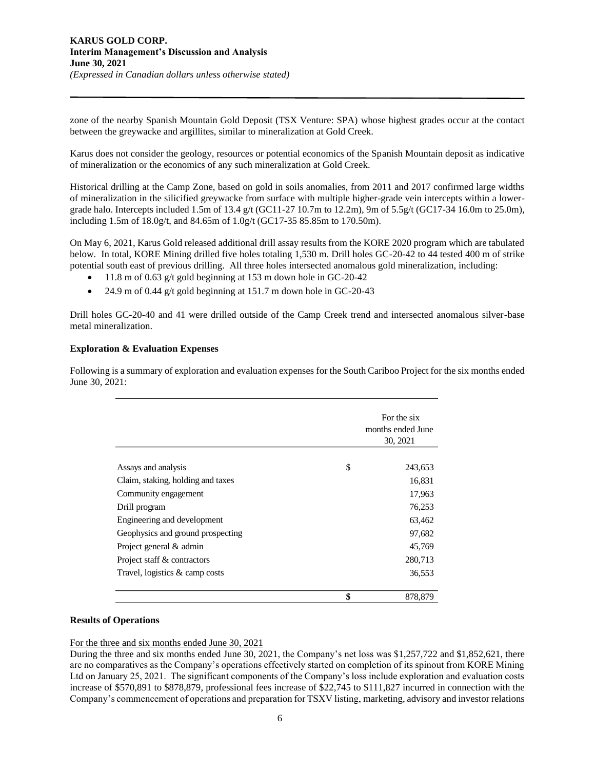zone of the nearby Spanish Mountain Gold Deposit (TSX Venture: SPA) whose highest grades occur at the contact between the greywacke and argillites, similar to mineralization at Gold Creek.

Karus does not consider the geology, resources or potential economics of the Spanish Mountain deposit as indicative of mineralization or the economics of any such mineralization at Gold Creek.

Historical drilling at the Camp Zone, based on gold in soils anomalies, from 2011 and 2017 confirmed large widths of mineralization in the silicified greywacke from surface with multiple higher-grade vein intercepts within a lowergrade halo. Intercepts included 1.5m of 13.4 g/t (GC11-27 10.7m to 12.2m), 9m of 5.5g/t (GC17-34 16.0m to 25.0m), including 1.5m of 18.0g/t, and 84.65m of 1.0g/t (GC17-35 85.85m to 170.50m).

On May 6, 2021, Karus Gold released additional drill assay results from the KORE 2020 program which are tabulated below. In total, KORE Mining drilled five holes totaling 1,530 m. Drill holes GC-20-42 to 44 tested 400 m of strike potential south east of previous drilling. All three holes intersected anomalous gold mineralization, including:

- 11.8 m of 0.63 g/t gold beginning at 153 m down hole in GC-20-42
- 24.9 m of 0.44 g/t gold beginning at 151.7 m down hole in GC-20-43

Drill holes GC-20-40 and 41 were drilled outside of the Camp Creek trend and intersected anomalous silver-base metal mineralization.

## **Exploration & Evaluation Expenses**

Following is a summary of exploration and evaluation expenses for the South Cariboo Project for the six months ended June 30, 2021:

|                                   | For the six<br>months ended June<br>30, 2021 |  |
|-----------------------------------|----------------------------------------------|--|
| Assays and analysis               | \$<br>243,653                                |  |
| Claim, staking, holding and taxes | 16,831                                       |  |
| Community engagement              | 17,963                                       |  |
| Drill program                     | 76,253                                       |  |
| Engineering and development       | 63,462                                       |  |
| Geophysics and ground prospecting | 97,682                                       |  |
| Project general & admin           | 45,769                                       |  |
| Project staff & contractors       | 280,713                                      |  |
| Travel, logistics $\&$ camp costs | 36,553                                       |  |
|                                   | \$<br>878,879                                |  |

## **Results of Operations**

## For the three and six months ended June 30, 2021

During the three and six months ended June 30, 2021, the Company's net loss was \$1,257,722 and \$1,852,621, there are no comparatives as the Company's operations effectively started on completion of its spinout from KORE Mining Ltd on January 25, 2021. The significant components of the Company's loss include exploration and evaluation costs increase of \$570,891 to \$878,879, professional fees increase of \$22,745 to \$111,827 incurred in connection with the Company's commencement of operations and preparation for TSXV listing, marketing, advisory and investor relations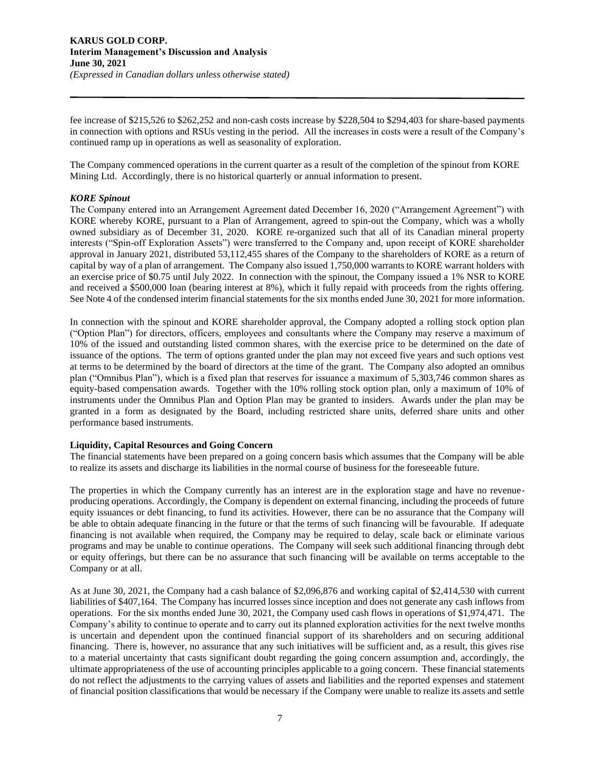fee increase of \$215,526 to \$262,252 and non-cash costs increase by \$228,504 to \$294,403 for share-based payments in connection with options and RSUs vesting in the period. All the increases in costs were a result of the Company's continued ramp up in operations as well as seasonality of exploration.

The Company commenced operations in the current quarter as a result of the completion of the spinout from KORE Mining Ltd. Accordingly, there is no historical quarterly or annual information to present.

## *KORE Spinout*

The Company entered into an Arrangement Agreement dated December 16, 2020 ("Arrangement Agreement") with KORE whereby KORE, pursuant to a Plan of Arrangement, agreed to spin-out the Company, which was a wholly owned subsidiary as of December 31, 2020. KORE re-organized such that all of its Canadian mineral property interests ("Spin-off Exploration Assets") were transferred to the Company and, upon receipt of KORE shareholder approval in January 2021, distributed 53,112,455 shares of the Company to the shareholders of KORE as a return of capital by way of a plan of arrangement. The Company also issued 1,750,000 warrants to KORE warrant holders with an exercise price of \$0.75 until July 2022. In connection with the spinout, the Company issued a 1% NSR to KORE and received a \$500,000 loan (bearing interest at 8%), which it fully repaid with proceeds from the rights offering. See Note 4 of the condensed interim financial statements for the six months ended June 30, 2021 for more information.

In connection with the spinout and KORE shareholder approval, the Company adopted a rolling stock option plan ("Option Plan") for directors, officers, employees and consultants where the Company may reserve a maximum of 10% of the issued and outstanding listed common shares, with the exercise price to be determined on the date of issuance of the options. The term of options granted under the plan may not exceed five years and such options vest at terms to be determined by the board of directors at the time of the grant. The Company also adopted an omnibus plan ("Omnibus Plan"), which is a fixed plan that reserves for issuance a maximum of 5,303,746 common shares as equity-based compensation awards. Together with the 10% rolling stock option plan, only a maximum of 10% of instruments under the Omnibus Plan and Option Plan may be granted to insiders. Awards under the plan may be granted in a form as designated by the Board, including restricted share units, deferred share units and other performance based instruments.

## **Liquidity, Capital Resources and Going Concern**

The financial statements have been prepared on a going concern basis which assumes that the Company will be able to realize its assets and discharge its liabilities in the normal course of business for the foreseeable future.

The properties in which the Company currently has an interest are in the exploration stage and have no revenueproducing operations. Accordingly, the Company is dependent on external financing, including the proceeds of future equity issuances or debt financing, to fund its activities. However, there can be no assurance that the Company will be able to obtain adequate financing in the future or that the terms of such financing will be favourable. If adequate financing is not available when required, the Company may be required to delay, scale back or eliminate various programs and may be unable to continue operations. The Company will seek such additional financing through debt or equity offerings, but there can be no assurance that such financing will be available on terms acceptable to the Company or at all.

As at June 30, 2021, the Company had a cash balance of \$2,096,876 and working capital of \$2,414,530 with current liabilities of \$407,164. The Company has incurred losses since inception and does not generate any cash inflows from operations. For the six months ended June 30, 2021, the Company used cash flows in operations of \$1,974,471. The Company's ability to continue to operate and to carry out its planned exploration activities for the next twelve months is uncertain and dependent upon the continued financial support of its shareholders and on securing additional financing. There is, however, no assurance that any such initiatives will be sufficient and, as a result, this gives rise to a material uncertainty that casts significant doubt regarding the going concern assumption and, accordingly, the ultimate appropriateness of the use of accounting principles applicable to a going concern. These financial statements do not reflect the adjustments to the carrying values of assets and liabilities and the reported expenses and statement of financial position classifications that would be necessary if the Company were unable to realize its assets and settle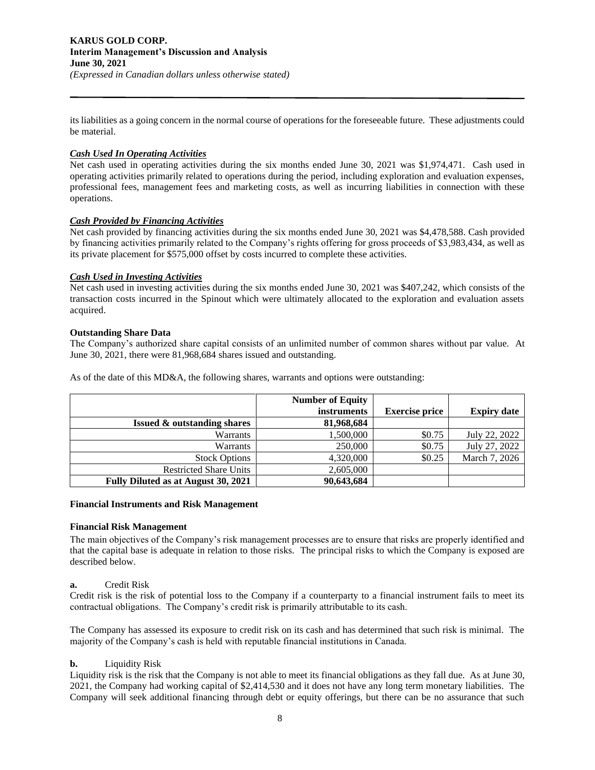its liabilities as a going concern in the normal course of operations for the foreseeable future. These adjustments could be material.

## *Cash Used In Operating Activities*

Net cash used in operating activities during the six months ended June 30, 2021 was \$1,974,471. Cash used in operating activities primarily related to operations during the period, including exploration and evaluation expenses, professional fees, management fees and marketing costs, as well as incurring liabilities in connection with these operations.

## *Cash Provided by Financing Activities*

Net cash provided by financing activities during the six months ended June 30, 2021 was \$4,478,588. Cash provided by financing activities primarily related to the Company's rights offering for gross proceeds of \$3,983,434, as well as its private placement for \$575,000 offset by costs incurred to complete these activities.

## *Cash Used in Investing Activities*

Net cash used in investing activities during the six months ended June 30, 2021 was \$407,242, which consists of the transaction costs incurred in the Spinout which were ultimately allocated to the exploration and evaluation assets acquired.

## **Outstanding Share Data**

The Company's authorized share capital consists of an unlimited number of common shares without par value. At June 30, 2021, there were 81,968,684 shares issued and outstanding.

As of the date of this MD&A, the following shares, warrants and options were outstanding:

|                                        | <b>Number of Equity</b> |                       |                    |
|----------------------------------------|-------------------------|-----------------------|--------------------|
|                                        | instruments             | <b>Exercise price</b> | <b>Expiry date</b> |
| <b>Issued &amp; outstanding shares</b> | 81,968,684              |                       |                    |
| Warrants                               | 1,500,000               | \$0.75                | July 22, 2022      |
| Warrants                               | 250,000                 | \$0.75                | July 27, 2022      |
| <b>Stock Options</b>                   | 4,320,000               | \$0.25                | March 7, 2026      |
| <b>Restricted Share Units</b>          | 2,605,000               |                       |                    |
| Fully Diluted as at August 30, 2021    | 90,643,684              |                       |                    |

## **Financial Instruments and Risk Management**

## **Financial Risk Management**

The main objectives of the Company's risk management processes are to ensure that risks are properly identified and that the capital base is adequate in relation to those risks. The principal risks to which the Company is exposed are described below.

## **a.** Credit Risk

Credit risk is the risk of potential loss to the Company if a counterparty to a financial instrument fails to meet its contractual obligations. The Company's credit risk is primarily attributable to its cash.

The Company has assessed its exposure to credit risk on its cash and has determined that such risk is minimal. The majority of the Company's cash is held with reputable financial institutions in Canada.

## **b.** Liquidity Risk

Liquidity risk is the risk that the Company is not able to meet its financial obligations as they fall due. As at June 30, 2021, the Company had working capital of \$2,414,530 and it does not have any long term monetary liabilities. The Company will seek additional financing through debt or equity offerings, but there can be no assurance that such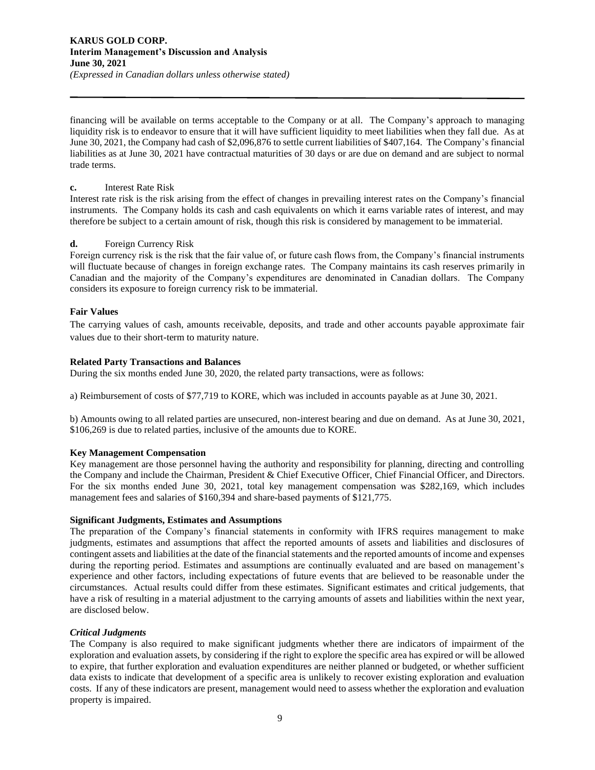## **KARUS GOLD CORP. Interim Management's Discussion and Analysis June 30, 2021** *(Expressed in Canadian dollars unless otherwise stated)*

financing will be available on terms acceptable to the Company or at all. The Company's approach to managing liquidity risk is to endeavor to ensure that it will have sufficient liquidity to meet liabilities when they fall due. As at June 30, 2021, the Company had cash of \$2,096,876 to settle current liabilities of \$407,164. The Company's financial liabilities as at June 30, 2021 have contractual maturities of 30 days or are due on demand and are subject to normal trade terms.

## **c.** Interest Rate Risk

Interest rate risk is the risk arising from the effect of changes in prevailing interest rates on the Company's financial instruments. The Company holds its cash and cash equivalents on which it earns variable rates of interest, and may therefore be subject to a certain amount of risk, though this risk is considered by management to be immaterial.

## **d.** Foreign Currency Risk

Foreign currency risk is the risk that the fair value of, or future cash flows from, the Company's financial instruments will fluctuate because of changes in foreign exchange rates. The Company maintains its cash reserves primarily in Canadian and the majority of the Company's expenditures are denominated in Canadian dollars. The Company considers its exposure to foreign currency risk to be immaterial.

## **Fair Values**

The carrying values of cash, amounts receivable, deposits, and trade and other accounts payable approximate fair values due to their short-term to maturity nature.

## **Related Party Transactions and Balances**

During the six months ended June 30, 2020, the related party transactions, were as follows:

a) Reimbursement of costs of \$77,719 to KORE, which was included in accounts payable as at June 30, 2021.

b) Amounts owing to all related parties are unsecured, non-interest bearing and due on demand. As at June 30, 2021, \$106,269 is due to related parties, inclusive of the amounts due to KORE.

## **Key Management Compensation**

Key management are those personnel having the authority and responsibility for planning, directing and controlling the Company and include the Chairman, President & Chief Executive Officer, Chief Financial Officer, and Directors. For the six months ended June 30, 2021, total key management compensation was \$282,169, which includes management fees and salaries of \$160,394 and share-based payments of \$121,775.

## **Significant Judgments, Estimates and Assumptions**

The preparation of the Company's financial statements in conformity with IFRS requires management to make judgments, estimates and assumptions that affect the reported amounts of assets and liabilities and disclosures of contingent assets and liabilities at the date of the financial statements and the reported amounts of income and expenses during the reporting period. Estimates and assumptions are continually evaluated and are based on management's experience and other factors, including expectations of future events that are believed to be reasonable under the circumstances. Actual results could differ from these estimates. Significant estimates and critical judgements, that have a risk of resulting in a material adjustment to the carrying amounts of assets and liabilities within the next year, are disclosed below.

## *Critical Judgments*

The Company is also required to make significant judgments whether there are indicators of impairment of the exploration and evaluation assets, by considering if the right to explore the specific area has expired or will be allowed to expire, that further exploration and evaluation expenditures are neither planned or budgeted, or whether sufficient data exists to indicate that development of a specific area is unlikely to recover existing exploration and evaluation costs. If any of these indicators are present, management would need to assess whether the exploration and evaluation property is impaired.